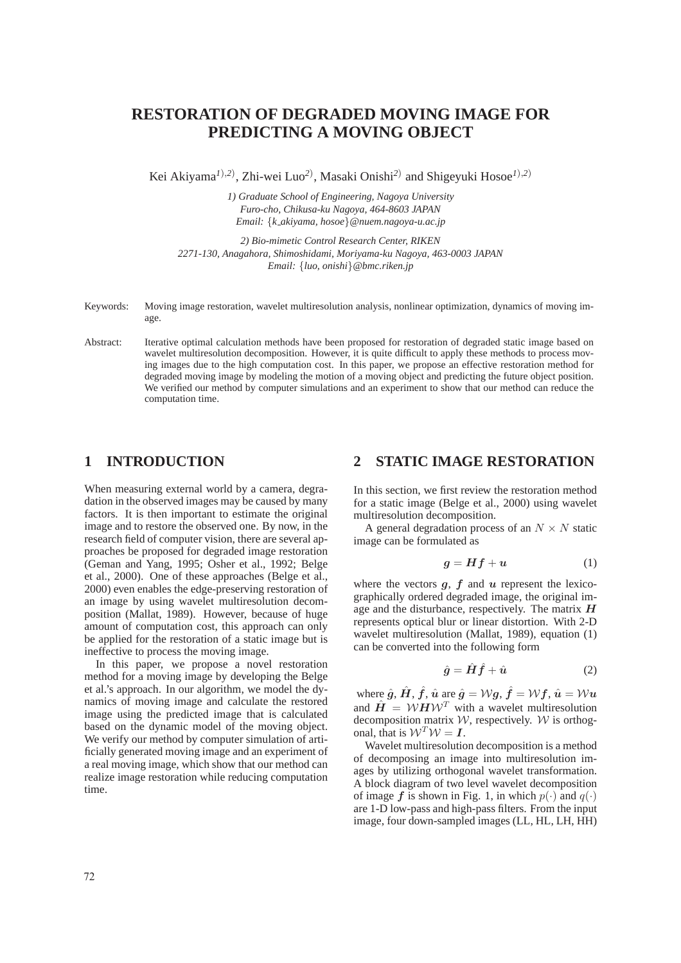# **RESTORATION OF DEGRADED MOVING IMAGE FOR PREDICTING A MOVING OBJECT**

Kei Akiyama*<sup>1</sup>*)*,2*) , Zhi-wei Luo*<sup>2</sup>*) , Masaki Onishi*<sup>2</sup>*) and Shigeyuki Hosoe*<sup>1</sup>*)*,2*)

*1) Graduate School of Engineering, Nagoya University Furo-cho, Chikusa-ku Nagoya, 464-8603 JAPAN Email: {k akiyama, hosoe}@nuem.nagoya-u.ac.jp*

*2) Bio-mimetic Control Research Center, RIKEN 2271-130, Anagahora, Shimoshidami, Moriyama-ku Nagoya, 463-0003 JAPAN Email: {luo, onishi}@bmc.riken.jp*

- Keywords: Moving image restoration, wavelet multiresolution analysis, nonlinear optimization, dynamics of moving image.
- Abstract: Iterative optimal calculation methods have been proposed for restoration of degraded static image based on wavelet multiresolution decomposition. However, it is quite difficult to apply these methods to process moving images due to the high computation cost. In this paper, we propose an effective restoration method for degraded moving image by modeling the motion of a moving object and predicting the future object position. We verified our method by computer simulations and an experiment to show that our method can reduce the computation time.

### **1 INTRODUCTION**

When measuring external world by a camera, degradation in the observed images may be caused by many factors. It is then important to estimate the original image and to restore the observed one. By now, in the research field of computer vision, there are several approaches be proposed for degraded image restoration (Geman and Yang, 1995; Osher et al., 1992; Belge et al., 2000). One of these approaches (Belge et al., 2000) even enables the edge-preserving restoration of an image by using wavelet multiresolution decomposition (Mallat, 1989). However, because of huge amount of computation cost, this approach can only be applied for the restoration of a static image but is ineffective to process the moving image.

In this paper, we propose a novel restoration method for a moving image by developing the Belge et al.'s approach. In our algorithm, we model the dynamics of moving image and calculate the restored image using the predicted image that is calculated based on the dynamic model of the moving object. We verify our method by computer simulation of artificially generated moving image and an experiment of a real moving image, which show that our method can realize image restoration while reducing computation time.

### **2 STATIC IMAGE RESTORATION**

In this section, we first review the restoration method for a static image (Belge et al., 2000) using wavelet multiresolution decomposition.

A general degradation process of an  $N \times N$  static image can be formulated as

$$
g = Hf + u \tag{1}
$$

where the vectors  $g$ ,  $f$  and  $u$  represent the lexicographically ordered degraded image, the original image and the disturbance, respectively. The matrix *H* represents optical blur or linear distortion. With 2-D wavelet multiresolution (Mallat, 1989), equation (1) can be converted into the following form

$$
\hat{g} = \hat{H}\hat{f} + \hat{u} \tag{2}
$$

where  $\hat{g}$ ,  $\hat{H}$ ,  $\hat{f}$ ,  $\hat{u}$  are  $\hat{g} = Wg$ ,  $\hat{f} = Wf$ ,  $\hat{u} = Wu$ and  $\hat{H} = W H W^T$  with a wavelet multiresolution decomposition matrix  $W$ , respectively. W is orthogonal, that is  $W^T W = I$ .

Wavelet multiresolution decomposition is a method of decomposing an image into multiresolution images by utilizing orthogonal wavelet transformation. A block diagram of two level wavelet decomposition of image f is shown in Fig. 1, in which  $p(\cdot)$  and  $q(\cdot)$ are 1-D low-pass and high-pass filters. From the input image, four down-sampled images (LL, HL, LH, HH)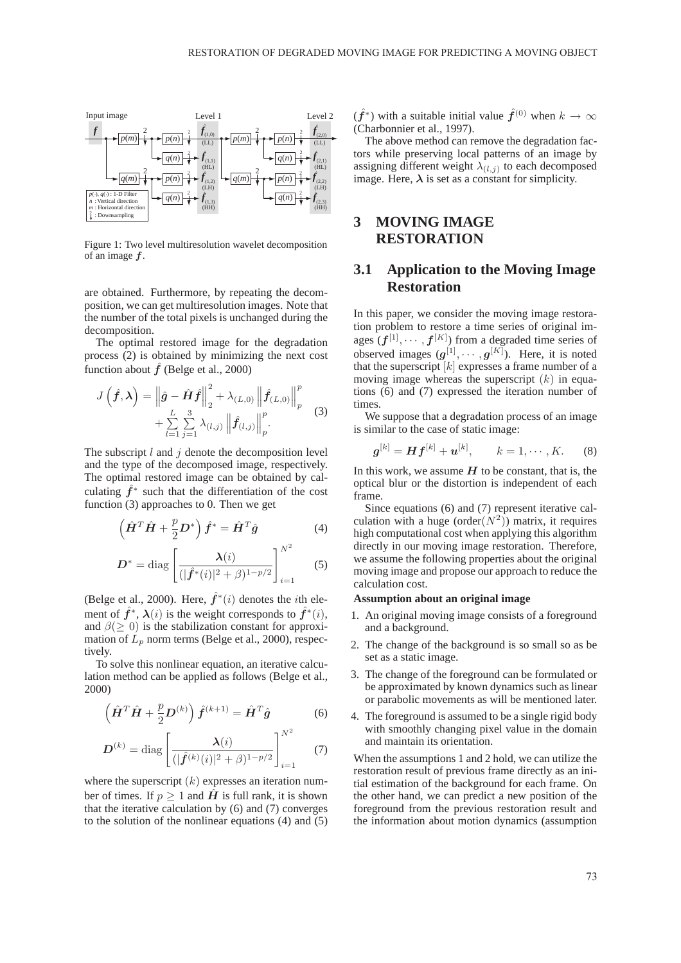

Figure 1: Two level multiresolution wavelet decomposition of an image *f*.

are obtained. Furthermore, by repeating the decomposition, we can get multiresolution images. Note that the number of the total pixels is unchanged during the decomposition.

The optimal restored image for the degradation process (2) is obtained by minimizing the next cost function about  $\hat{f}$  (Belge et al., 2000)

$$
J\left(\hat{f},\lambda\right) = \left\|\hat{g} - \hat{H}\hat{f}\right\|_{2}^{2} + \lambda_{(L,0)} \left\|\hat{f}_{(L,0)}\right\|_{p}^{p}
$$
  
+ 
$$
\sum_{l=1}^{L} \sum_{j=1}^{3} \lambda_{(l,j)} \left\|\hat{f}_{(l,j)}\right\|_{p}^{p}.
$$
 (3)

The subscript  $l$  and  $j$  denote the decomposition level and the type of the decomposed image, respectively. The optimal restored image can be obtained by calculating  $\hat{f}^*$  such that the differentiation of the cost function (3) approaches to 0. Then we get

$$
\left(\hat{\boldsymbol{H}}^T \hat{\boldsymbol{H}} + \frac{p}{2} \boldsymbol{D}^*\right) \hat{\boldsymbol{f}}^* = \hat{\boldsymbol{H}}^T \hat{\boldsymbol{g}} \tag{4}
$$

$$
D^* = \text{diag}\left[\frac{\lambda(i)}{(|\hat{f}^*(i)|^2 + \beta)^{1-p/2}}\right]_{i=1}^{N^2}
$$
 (5)

(Belge et al., 2000). Here,  $\hat{f}^*(i)$  denotes the *i*th element of  $\hat{f}^*$ ,  $\lambda(i)$  is the weight corresponds to  $\hat{f}^*(i)$ , and  $\beta(\geq 0)$  is the stabilization constant for approximation of  $L_p$  norm terms (Belge et al., 2000), respectively.

To solve this nonlinear equation, an iterative calculation method can be applied as follows (Belge et al., 2000)

$$
\left(\hat{\boldsymbol{H}}^T \hat{\boldsymbol{H}} + \frac{p}{2} \boldsymbol{D}^{(k)}\right) \hat{\boldsymbol{f}}^{(k+1)} = \hat{\boldsymbol{H}}^T \hat{\boldsymbol{g}} \tag{6}
$$

$$
\boldsymbol{D}^{(k)} = \text{diag}\left[\frac{\boldsymbol{\lambda}(i)}{(|\hat{\boldsymbol{f}}^{(k)}(i)|^2 + \beta)^{1-p/2}}\right]_{i=1}^{N^2}
$$
(7)

where the superscript  $(k)$  expresses an iteration number of times. If  $p > 1$  and  $\vec{H}$  is full rank, it is shown that the iterative calculation by (6) and (7) converges to the solution of the nonlinear equations (4) and (5)  $(f^*)$  with a suitable initial value  $\hat{f}^{(0)}$  when  $k \to \infty$ (Charbonnier et al., 1997).

The above method can remove the degradation factors while preserving local patterns of an image by assigning different weight  $\lambda_{(l,j)}$  to each decomposed image. Here,  $\lambda$  is set as a constant for simplicity.

### **3 MOVING IMAGE RESTORATION**

## **3.1 Application to the Moving Image Restoration**

In this paper, we consider the moving image restoration problem to restore a time series of original images  $(f^{[1]}, \dots, f^{[K]})$  from a degraded time series of<br>observed images  $(g^{[1]}, \dots, g^{[K]})$ . Here it is noted observed images  $(g^{[1]}, \dots, g^{[K]})$ . Here, it is noted that the superscript  $[k]$  expresses a frame number of a that the superscript  $[k]$  expresses a frame number of a moving image whereas the superscript  $(k)$  in equations (6) and (7) expressed the iteration number of times.

We suppose that a degradation process of an image is similar to the case of static image:

$$
\bm{g}^{[k]} = \bm{H} \bm{f}^{[k]} + \bm{u}^{[k]}, \qquad k = 1, \cdots, K. \tag{8}
$$

In this work, we assume  $H$  to be constant, that is, the optical blur or the distortion is independent of each frame.

Since equations (6) and (7) represent iterative calculation with a huge (order $(N^2)$ ) matrix, it requires high computational cost when applying this algorithm directly in our moving image restoration. Therefore, we assume the following properties about the original moving image and propose our approach to reduce the calculation cost.

#### **Assumption about an original image**

- 1. An original moving image consists of a foreground and a background.
- 2. The change of the background is so small so as be set as a static image.
- 3. The change of the foreground can be formulated or be approximated by known dynamics such as linear or parabolic movements as will be mentioned later.
- 4. The foreground is assumed to be a single rigid body with smoothly changing pixel value in the domain and maintain its orientation.

When the assumptions 1 and 2 hold, we can utilize the restoration result of previous frame directly as an initial estimation of the background for each frame. On the other hand, we can predict a new position of the foreground from the previous restoration result and the information about motion dynamics (assumption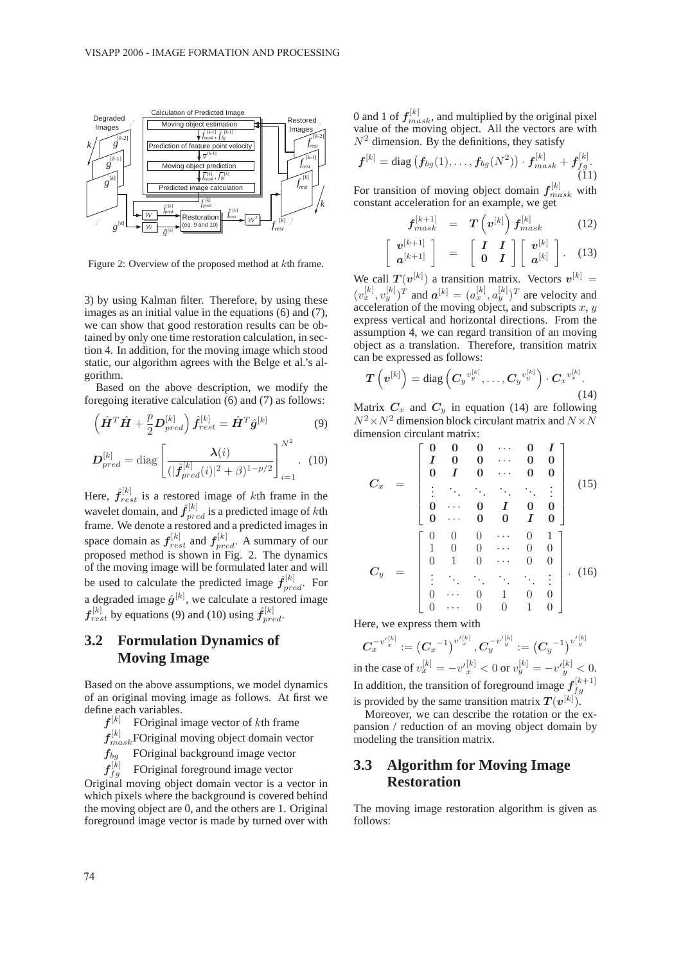

Figure 2: Overview of the proposed method at kth frame.

3) by using Kalman filter. Therefore, by using these images as an initial value in the equations (6) and (7), we can show that good restoration results can be obtained by only one time restoration calculation, in section 4. In addition, for the moving image which stood static, our algorithm agrees with the Belge et al.'s algorithm.

Based on the above description, we modify the foregoing iterative calculation (6) and (7) as follows:

$$
\left(\hat{\boldsymbol{H}}^T\hat{\boldsymbol{H}} + \frac{p}{2}\boldsymbol{D}_{pred}^{[k]}\right)\hat{\boldsymbol{f}}_{rest}^{[k]} = \hat{\boldsymbol{H}}^T\hat{\boldsymbol{g}}^{[k]}
$$
(9)

$$
\boldsymbol{D}_{pred}^{[k]} = \text{diag}\left[\frac{\lambda(i)}{(|\hat{\boldsymbol{f}}_{pred}^{[k]}(i)|^2 + \beta)^{1-p/2}}\right]_{i=1}^{N^2}.
$$
 (10)

Here,  $\hat{f}_{rest}^{[k]}$  is a restored image of kth frame in the magnetic dimension of kth wavelet domain, and  $\hat{f}_{pred}^{[k]}$  is a predicted image of kth frame. We denote a restored and a predicted images in frame. We denote a restored and a predicted images in space domain as  $f_{\text{rest}}^{[k]}$  and  $f_{\text{pred}}^{[k]}$ . A summary of our prepared method is shown in Fig. 2. The dynamics proposed method is shown in Fig. 2. The dynamics of the moving image will be formulated later and will be used to calculate the predicted image  $\hat{f}_{pred}^{[k]}$ . For a degraded image  $\hat{g}^{[k]}$ , we calculate a restored image  $f_{rest}^{[k]}$  by equations (9) and (10) using  $\hat{f}_{pred}^{[k]}$ .

### **3.2 Formulation Dynamics of Moving Image**

Based on the above assumptions, we model dynamics of an original moving image as follows. At first we define each variables.

- $f^{[k]}$  FOriginal image vector of kth frame
- $f_{mask}^{[k]}$  FOriginal moving object domain vector
- *<sup>f</sup>*bg FOriginal background image vector
- $\boldsymbol{f}_{\mathnormal{f} \mathnormal{q}}^{[k]}$ FOriginal foreground image vector

Original moving object domain vector is a vector in which pixels where the background is covered behind the moving object are 0, and the others are 1. Original foreground image vector is made by turned over with

0 and 1 of  $f_{mask}^{[k]}$ , and multiplied by the original pixel<br>value of the moving object. All the vectors are with value of the moving object. All the vectors are with  $N^2$  dimension. By the definitions, they satisfy

$$
\boldsymbol{f}^{[k]} = \text{diag} \left( \boldsymbol{f}_{bg}(1), \dots, \boldsymbol{f}_{bg}(N^2) \right) \cdot \boldsymbol{f}_{mask}^{[k]} + \boldsymbol{f}_{fg}^{[k]}.
$$
\n(11)

For transition of moving object domain  $f_{mask}^{[k]}$  with constant acceleration for an example, we get constant acceleration for an example, we get

$$
f_{mask}^{[k+1]} = T\left(v^{[k]}\right)f_{mask}^{[k]} \tag{12}
$$

$$
\left[\begin{array}{c} \boldsymbol{v}^{[k+1]} \\ \boldsymbol{a}^{[k+1]} \end{array}\right] \quad = \quad \left[\begin{array}{cc} \boldsymbol{I} & \boldsymbol{I} \\ \boldsymbol{0} & \boldsymbol{I} \end{array}\right] \left[\begin{array}{c} \boldsymbol{v}^{[k]} \\ \boldsymbol{a}^{[k]} \end{array}\right]. \tag{13}
$$

We call  $T(v^{[k]})$  a transition matrix. Vectors  $v^{[k]} =$  $(v_x^{[k]}, v_y^{[k]})^T$  and  $\boldsymbol{a}^{[k]} = (a_x^{[k]}, a_y^{[k]})^T$  are velocity and acceleration of the moving object and subscripts  $x, y$ acceleration of the moving object, and subscripts  $x, y$ express vertical and horizontal directions. From the assumption 4, we can regard transition of an moving object as a translation. Therefore, transition matrix can be expressed as follows:

$$
T\left(v^{[k]}\right) = \text{diag}\left(C_yv_y^{[k]},\ldots,C_yv_y^{[k]}\right)\cdot C_xv_x^{[k]}.\tag{14}
$$

Matrix  $C_x$  and  $C_y$  in equation (14) are following  $N^2 \times N^2$  dimension block circulant matrix and  $N \times N$ dimension circulant matrix:

$$
C_x = \begin{bmatrix} 0 & 0 & 0 & \cdots & 0 & I \\ I & 0 & 0 & \cdots & 0 & 0 \\ 0 & I & 0 & \cdots & 0 & 0 \\ \vdots & \ddots & \ddots & \ddots & \ddots & \vdots \\ 0 & \cdots & 0 & I & 0 & 0 \\ 0 & \cdots & 0 & 0 & I & 0 \end{bmatrix}
$$
(15)  

$$
C_y = \begin{bmatrix} 0 & 0 & 0 & \cdots & 0 & 1 \\ 1 & 0 & 0 & \cdots & 0 & 0 \\ 0 & 1 & 0 & \cdots & 0 & 0 \\ \vdots & \ddots & \ddots & \ddots & \ddots & \vdots \\ 0 & \cdots & 0 & 1 & 0 & 0 \\ 0 & \cdots & 0 & 0 & 1 & 0 \end{bmatrix}.
$$
(16)

Here, we express them with

 $\pmb{C}^{-v'{}^{[k]}_x}_x := \bigl(\pmb{C}_x\bigr)$  $\left[ (-1)^{v'{}^{[k]}_x}, C_y^{-v'{}^{[k]}} \right] := \left( C_y \right)$  $(-1)^{v'_{y}^{[k]}}$ in the case of  $v_x^{[k]} = -v'_x^{[k]} < 0$  or  $v_y^{[k]} = -v'_y^{[k]} < 0$ . In addition, the transition of foreground image  $f_{fg}^{[k+1]}$ is provided by the same transition matrix  $T(v^{[k]})$ .<br>Moreover we can describe the rotation or the

Moreover, we can describe the rotation or the expansion / reduction of an moving object domain by modeling the transition matrix.

## **3.3 Algorithm for Moving Image Restoration**

The moving image restoration algorithm is given as follows: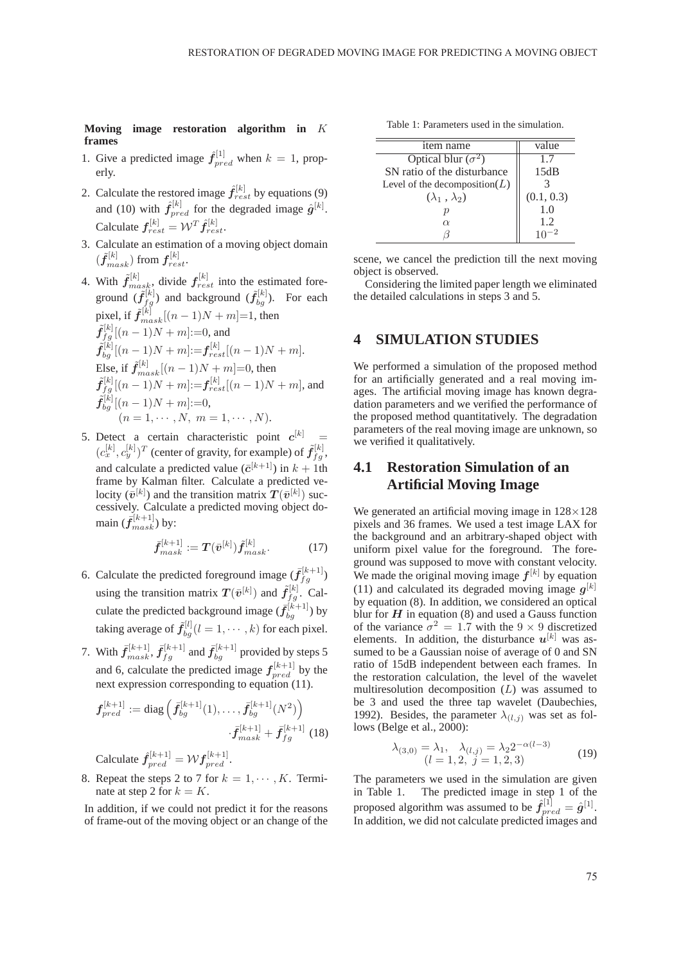$\overline{\phantom{0}}$ 

**Moving image restoration algorithm in** K **frames**

- 1. Give a predicted image  $\hat{f}_{pred}^{[1]}$  when  $k = 1$ , properly.
- 2. Calculate the restored image  $\hat{f}_{rest}^{[k]}$  by equations (9) and (10) with  $\hat{f}_{pred}^{[k]}$  for the degraded image  $\hat{g}^{[k]}$ . Calculate  $f_{rest}^{[k]} = \mathcal{W}^T \hat{f}_{rest}^{[k]}$ .
- 3. Calculate an estimation of a moving object domain  $(\tilde{\pmb{f}}_{mask}^{[k]})$  from  $\pmb{f}_{rest}^{[k]}$ .
- 4. With  $\tilde{f}_{mask}^{[k]}$ , divide  $f_{rest}^{[k]}$  into the estimated foreground  $(\tilde{f}_{bg}^{[k]})$  and background  $(\tilde{f}_{bg}^{[k]})$ . For each pixel, if  $\tilde{f}_{mask}^{[k]}[(n-1)N + m]=1$ , then  $\tilde{f}_{fg}^{[k]}[(n-1)N + m] := 0$ , and  $\tilde{f}_{bg}^{[k]}[(n-1)N+m]:=f_{rest}^{[k]}[(n-1)N+m].$ Else, if  $\tilde{f}_{mask}^{[k]}[(n-1)N + m] = 0$ , then  $\tilde{f}_{fg}^{[k]}[(n-1)N+m]:=f_{rest}^{[k]}[(n-1)N+m]$ , and  $\tilde{f}_{bg}^{[k]}[(n-1)N + m] := 0,$  $(n = 1, \cdots, N, m = 1, \cdots, N).$
- 5. Detect a certain characteristic point  $c^{[k]} = (c_x^{[k]}, c_y^{[k]})^T$  (center of gravity, for example) of  $\tilde{f}_{fg}^{[k]}$ , and calculate a predicted value ( $\bar{c}^{[k+1]}$ ) in  $k + 1$ th frame by Kalman filter. Calculate a predicted velocity  $(\bar{v}^{[k]})$  and the transition matrix  $T(\bar{v}^{[k]})$  suc-<br>cessively Calculate a predicted moving object docessively. Calculate a predicted moving object domain  $(\bar{f}_{mask}^{[k+1]})$  by:

$$
\bar{f}^{[k+1]}_{mask} := T(\bar{v}^{[k]}) \tilde{f}^{[k]}_{mask}.
$$
 (17)

- 6. Calculate the predicted foreground image  $(f_f^{[k+1]})$ using the transition matrix  $T(\bar{v}^{[k]})$  and  $\tilde{f}_{g}^{[k]}$ . Calculate the predicted background image  $(\bar{f}_{bg}^{[k+1]})$  by taking average of  $\tilde{f}_{bg}^{[l]}(l=1,\cdots,k)$  for each pixel.
- 7. With  $\bar{f}_{mask}^{[k+1]}$ ,  $\bar{f}_{fg}^{[k+1]}$  and  $\bar{f}_{bg}^{[k+1]}$  provided by steps 5 and 6, calculate the predicted image  $f_{pred}^{[k+1]}$  by the next expression corresponding to equation (11) next expression corresponding to equation (11).

$$
f_{pred}^{[k+1]} := \text{diag}\left(f_{bg}^{[k+1]}(1), \dots, f_{bg}^{[k+1]}(N^2)\right)
$$

$$
\cdot \bar{f}_{mask}^{[k+1]} + \bar{f}_{fg}^{[k+1]} (18)
$$

Calculate  $\hat{f}_{pred}^{[k+1]} = \mathcal{W} f_{pred}^{[k+1]}$ .

8. Repeat the steps 2 to 7 for  $k = 1, \dots, K$ . Terminate at step 2 for  $k = K$ .

In addition, if we could not predict it for the reasons of frame-out of the moving object or an change of the

Table 1: Parameters used in the simulation.

| value      |
|------------|
| 1.7        |
| 15dB       |
|            |
| (0.1, 0.3) |
| 1.0        |
| 1.2        |
|            |
|            |

scene, we cancel the prediction till the next moving object is observed.

Considering the limited paper length we eliminated the detailed calculations in steps 3 and 5.

### **4 SIMULATION STUDIES**

We performed a simulation of the proposed method for an artificially generated and a real moving images. The artificial moving image has known degradation parameters and we verified the performance of the proposed method quantitatively. The degradation parameters of the real moving image are unknown, so we verified it qualitatively.

## **4.1 Restoration Simulation of an Artificial Moving Image**

We generated an artificial moving image in  $128 \times 128$ pixels and 36 frames. We used a test image LAX for the background and an arbitrary-shaped object with uniform pixel value for the foreground. The foreground was supposed to move with constant velocity. We made the original moving image  $f^{[k]}$  by equation (11) and calculated its degraded moving image  $g^{[k]}$ by equation (8). In addition, we considered an optical blur for  $H$  in equation  $(8)$  and used a Gauss function of the variance  $\sigma^2 = 1.7$  with the  $9 \times 9$  discretized elements. In addition, the disturbance  $u^{[k]}$  was assumed to be a Gaussian noise of average of 0 and SN ratio of 15dB independent between each frames. In the restoration calculation, the level of the wavelet multiresolution decomposition  $(L)$  was assumed to be 3 and used the three tap wavelet (Daubechies, 1992). Besides, the parameter  $\lambda_{(l,j)}$  was set as follows (Belge et al., 2000):

$$
\lambda_{(3,0)} = \lambda_1, \quad \lambda_{(l,j)} = \lambda_2 2^{-\alpha(l-3)} (l = 1, 2, j = 1, 2, 3)
$$
 (19)

The parameters we used in the simulation are given in Table 1. The predicted image in step 1 of the proposed algorithm was assumed to be  $\hat{f}_{pred}^{[1]} = \hat{g}^{[1]}$ .<br>In addition, we did not calculate predicted images and In addition, we did not calculate predicted images and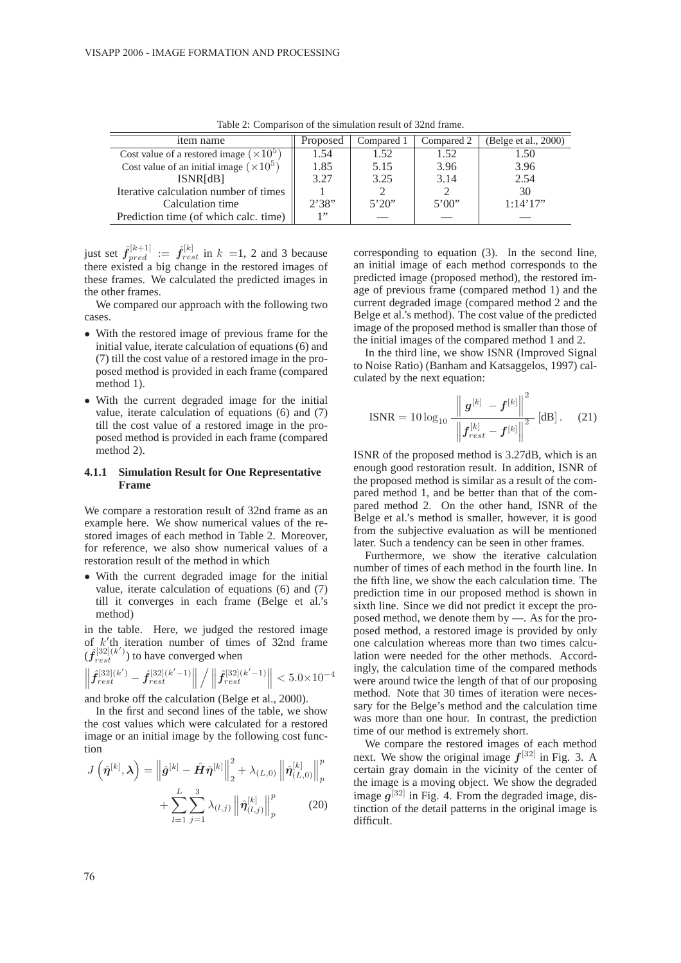| item name                                      | Proposed | Compared 1 | Compared 2 | (Belge et al., 2000) |  |  |  |
|------------------------------------------------|----------|------------|------------|----------------------|--|--|--|
| Cost value of a restored image $(\times 10^5)$ | 1.54     | 1.52       | 1.52       | 1.50                 |  |  |  |
| Cost value of an initial image $(\times 10^5)$ | 1.85     | 5.15       | 3.96       | 3.96                 |  |  |  |
| ISNR[dB]                                       | 3.27     | 3.25       | 3.14       | 2.54                 |  |  |  |
| Iterative calculation number of times          |          |            |            | 30                   |  |  |  |
| Calculation time                               | 2'38"    | 5'20''     | 5'00''     | 1:14'17"             |  |  |  |
| Prediction time (of which calc. time)          | 1, 22    |            |            |                      |  |  |  |

Table 2: Comparison of the simulation result of 32nd frame.

just set  $\hat{f}_{pred}^{[k+1]} := \hat{f}_{rest}^{[k]}$  in  $k = 1, 2$  and 3 because<br>there existed a big change in the restored images of there existed a big change in the restored images of these frames. We calculated the predicted images in the other frames.

We compared our approach with the following two cases.

- With the restored image of previous frame for the initial value, iterate calculation of equations (6) and (7) till the cost value of a restored image in the proposed method is provided in each frame (compared method 1).
- With the current degraded image for the initial value, iterate calculation of equations (6) and (7) till the cost value of a restored image in the proposed method is provided in each frame (compared method 2).

#### **4.1.1 Simulation Result for One Representative Frame**

We compare a restoration result of 32nd frame as an example here. We show numerical values of the restored images of each method in Table 2. Moreover, for reference, we also show numerical values of a restoration result of the method in which

• With the current degraded image for the initial value, iterate calculation of equations (6) and (7) till it converges in each frame (Belge et al.'s method)

in the table. Here, we judged the restored image of  $k'/\text{th}$  iteration number of times of 32nd frame  $(\hat{f}^{[32](k')}_{rest})$  to have converged when

$$
\left\| \hat{f}^{[32](k')}_{rest} - \hat{f}^{[32](k'-1)}_{rest} \right\| / \left\| \hat{f}^{[32](k'-1)}_{rest} \right\| < 5.0 \times 10^{-4}
$$

and broke off the calculation (Belge et al., 2000).

In the first and second lines of the table, we show the cost values which were calculated for a restored image or an initial image by the following cost function  $\sim$ 

$$
J\left(\hat{\boldsymbol{\eta}}^{[k]},\boldsymbol{\lambda}\right) = \left\|\hat{\boldsymbol{g}}^{[k]} - \hat{\boldsymbol{H}}\hat{\boldsymbol{\eta}}^{[k]}\right\|_{2}^{2} + \lambda_{(L,0)}\left\|\hat{\boldsymbol{\eta}}_{(L,0)}^{[k]}\right\|_{p}^{p} + \sum_{l=1}^{L}\sum_{j=1}^{3}\lambda_{(l,j)}\left\|\hat{\boldsymbol{\eta}}_{(l,j)}^{[k]}\right\|_{p}^{p} \qquad (20)
$$

corresponding to equation (3). In the second line, an initial image of each method corresponds to the predicted image (proposed method), the restored image of previous frame (compared method 1) and the current degraded image (compared method 2 and the Belge et al.'s method). The cost value of the predicted image of the proposed method is smaller than those of the initial images of the compared method 1 and 2.

In the third line, we show ISNR (Improved Signal to Noise Ratio) (Banham and Katsaggelos, 1997) calculated by the next equation:

$$
\text{ISNR} = 10 \log_{10} \frac{\left\| \boldsymbol{g}^{[k]} - \boldsymbol{f}^{[k]} \right\|^2}{\left\| \boldsymbol{f}_{rest}^{[k]} - \boldsymbol{f}^{[k]} \right\|^2} [\text{dB}]. \quad (21)
$$

ISNR of the proposed method is 3.27dB, which is an enough good restoration result. In addition, ISNR of the proposed method is similar as a result of the compared method 1, and be better than that of the compared method 2. On the other hand, ISNR of the Belge et al.'s method is smaller, however, it is good from the subjective evaluation as will be mentioned later. Such a tendency can be seen in other frames.

Furthermore, we show the iterative calculation number of times of each method in the fourth line. In the fifth line, we show the each calculation time. The prediction time in our proposed method is shown in sixth line. Since we did not predict it except the proposed method, we denote them by —. As for the proposed method, a restored image is provided by only one calculation whereas more than two times calculation were needed for the other methods. Accordingly, the calculation time of the compared methods were around twice the length of that of our proposing method. Note that 30 times of iteration were necessary for the Belge's method and the calculation time was more than one hour. In contrast, the prediction time of our method is extremely short.

We compare the restored images of each method next. We show the original image  $f^{[32]}$  in Fig. 3. A certain gray domain in the vicinity of the center of the image is a moving object. We show the degraded image  $q^{[32]}$  in Fig. 4. From the degraded image, distinction of the detail patterns in the original image is difficult.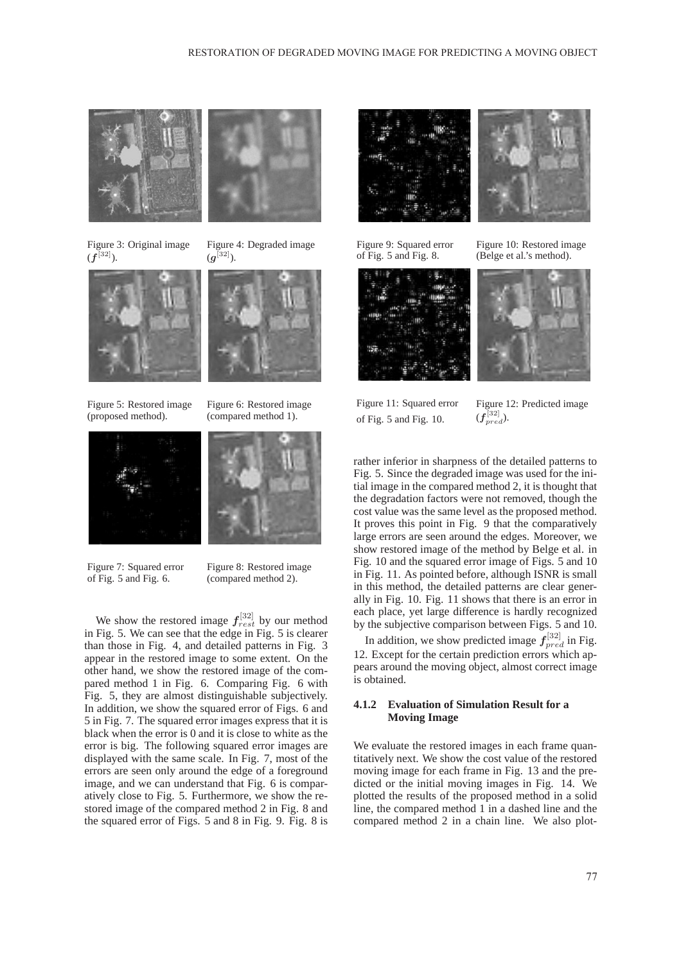



Figure 4: Degraded image

 $(g^{[32]})$ .

Figure 3: Original image  $(f^{[32]})$ .





Figure 6: Restored image (compared method 1).

Figure 5: Restored image (proposed method).



Figure 7: Squared error of Fig. 5 and Fig. 6.

Figure 8: Restored image (compared method 2).

We show the restored image  $f_{rest}^{[32]}$  by our method<br>Fig. 5. We can see that the edge in Fig. 5 is clearer in Fig. 5. We can see that the edge in Fig. 5 is clearer than those in Fig. 4, and detailed patterns in Fig. 3 appear in the restored image to some extent. On the other hand, we show the restored image of the compared method 1 in Fig. 6. Comparing Fig. 6 with Fig. 5, they are almost distinguishable subjectively. In addition, we show the squared error of Figs. 6 and 5 in Fig. 7. The squared error images express that it is black when the error is 0 and it is close to white as the error is big. The following squared error images are displayed with the same scale. In Fig. 7, most of the errors are seen only around the edge of a foreground image, and we can understand that Fig. 6 is comparatively close to Fig. 5. Furthermore, we show the restored image of the compared method 2 in Fig. 8 and the squared error of Figs. 5 and 8 in Fig. 9. Fig. 8 is





Figure 9: Squared error of Fig. 5 and Fig. 8.



Figure 10: Restored image (Belge et al.'s method).



Figure 11: Squared error of Fig. 5 and Fig. 10.

Figure 12: Predicted image  $(f_{pred}^{\left[ 32\right] })$ .

rather inferior in sharpness of the detailed patterns to Fig. 5. Since the degraded image was used for the initial image in the compared method 2, it is thought that the degradation factors were not removed, though the cost value was the same level as the proposed method. It proves this point in Fig. 9 that the comparatively large errors are seen around the edges. Moreover, we show restored image of the method by Belge et al. in Fig. 10 and the squared error image of Figs. 5 and 10 in Fig. 11. As pointed before, although ISNR is small in this method, the detailed patterns are clear generally in Fig. 10. Fig. 11 shows that there is an error in each place, yet large difference is hardly recognized by the subjective comparison between Figs. 5 and 10.

In addition, we show predicted image  $f_{\text{pred}}^{[32]}$  in Fig.<br>Except for the certain prediction errors which an-12. Except for the certain prediction errors which appears around the moving object, almost correct image is obtained.

#### **4.1.2 Evaluation of Simulation Result for a Moving Image**

We evaluate the restored images in each frame quantitatively next. We show the cost value of the restored moving image for each frame in Fig. 13 and the predicted or the initial moving images in Fig. 14. We plotted the results of the proposed method in a solid line, the compared method 1 in a dashed line and the compared method 2 in a chain line. We also plot-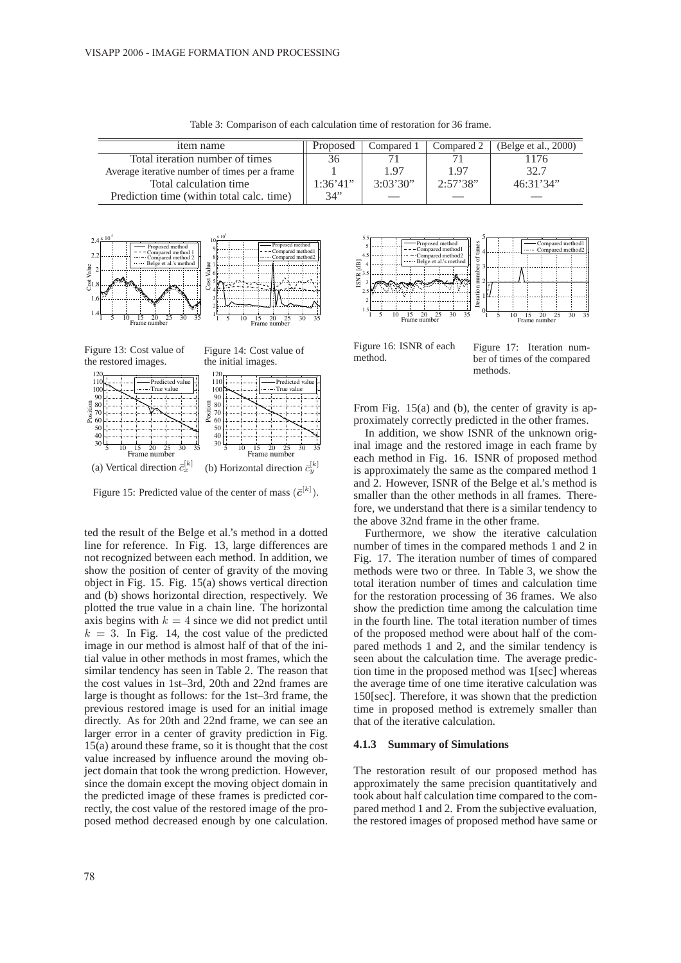| item name                                     | Proposed | Compared 1 | Compared 2 | (Belge et al., 2000) |
|-----------------------------------------------|----------|------------|------------|----------------------|
| Total iteration number of times               | 36       |            |            |                      |
| Average iterative number of times per a frame |          | 1.97       | 1.97       | 32.7                 |
| Total calculation time                        | 1:36'41" | 3:03'30"   | 2:57'38"   | 46:31'34"            |
| Prediction time (within total calc. time)     | 34"      |            |            |                      |

Table 3: Comparison of each calculation time of restoration for 36 frame.





Figure 15: Predicted value of the center of mass  $(\bar{c}^{[k]})$ .

ted the result of the Belge et al.'s method in a dotted line for reference. In Fig. 13, large differences are not recognized between each method. In addition, we show the position of center of gravity of the moving object in Fig. 15. Fig. 15(a) shows vertical direction and (b) shows horizontal direction, respectively. We plotted the true value in a chain line. The horizontal axis begins with  $k = 4$  since we did not predict until  $k = 3$ . In Fig. 14, the cost value of the predicted image in our method is almost half of that of the initial value in other methods in most frames, which the similar tendency has seen in Table 2. The reason that the cost values in 1st–3rd, 20th and 22nd frames are large is thought as follows: for the 1st–3rd frame, the previous restored image is used for an initial image directly. As for 20th and 22nd frame, we can see an larger error in a center of gravity prediction in Fig. 15(a) around these frame, so it is thought that the cost value increased by influence around the moving object domain that took the wrong prediction. However, since the domain except the moving object domain in the predicted image of these frames is predicted correctly, the cost value of the restored image of the proposed method decreased enough by one calculation.



Figure 16: ISNR of each method.

Figure 17: Iteration number of times of the compared methods.

From Fig. 15(a) and (b), the center of gravity is approximately correctly predicted in the other frames.

In addition, we show ISNR of the unknown original image and the restored image in each frame by each method in Fig. 16. ISNR of proposed method is approximately the same as the compared method 1 and 2. However, ISNR of the Belge et al.'s method is smaller than the other methods in all frames. Therefore, we understand that there is a similar tendency to the above 32nd frame in the other frame.

Furthermore, we show the iterative calculation number of times in the compared methods 1 and 2 in Fig. 17. The iteration number of times of compared methods were two or three. In Table 3, we show the total iteration number of times and calculation time for the restoration processing of 36 frames. We also show the prediction time among the calculation time in the fourth line. The total iteration number of times of the proposed method were about half of the compared methods 1 and 2, and the similar tendency is seen about the calculation time. The average prediction time in the proposed method was 1[sec] whereas the average time of one time iterative calculation was 150[sec]. Therefore, it was shown that the prediction time in proposed method is extremely smaller than that of the iterative calculation.

#### **4.1.3 Summary of Simulations**

The restoration result of our proposed method has approximately the same precision quantitatively and took about half calculation time compared to the compared method 1 and 2. From the subjective evaluation, the restored images of proposed method have same or